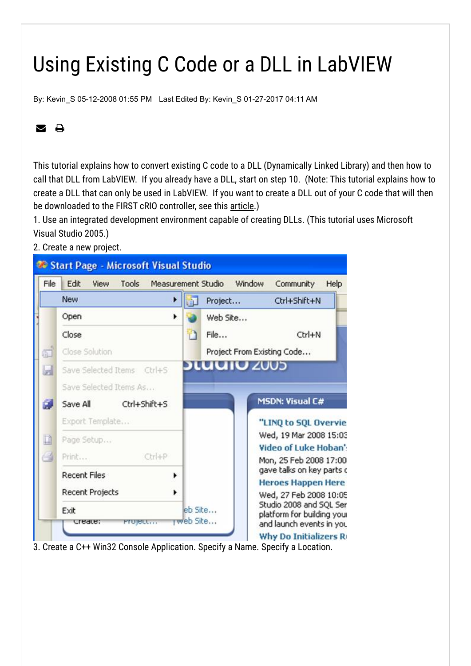## Using Existing C Code or a DLL in LabVIEW

By: [Kevin\\_S](https://forums.ni.com/t5/user/viewprofilepage/user-id/101174) 05-12-2008 01:55 PM Last Edited By: [Kevin\\_S](https://forums.ni.com/t5/user/viewprofilepage/user-id/101174) 01-27-2017 04:11 AM

### **⊠ A**

This tutorial explains how to convert existing C code to a DLL (Dynamically Linked Library) and then how to call that DLL from LabVIEW. If you already have a DLL, start on step 10. (Note: This tutorial explains how to create a DLL that can only be used in LabVIEW. If you want to create a DLL out of your C code that will then be downloaded to the FIRST cRIO controller, see this [article.](http://zone.ni.com/devzone/cda/tut/p/id/5694))

1. Use an integrated development environment capable of creating DLLs. (This tutorial uses Microsoft Visual Studio 2005.)

2. Create a new project.



3. Create a C++ Win32 Console Application. Specify a Name. Specify a Location.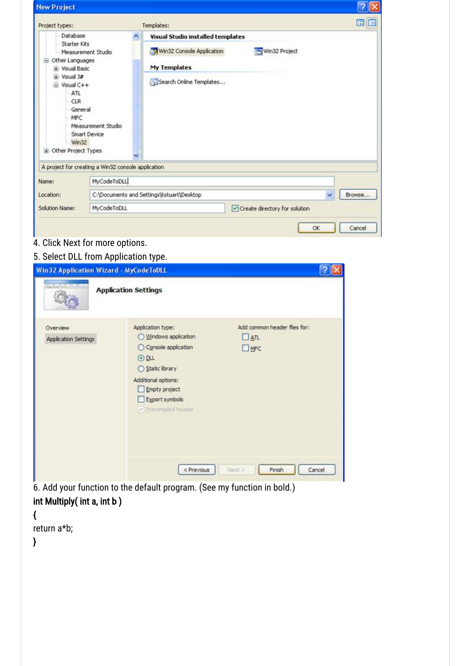| <b>New Project</b>                                         |                                                    |                                                |        |
|------------------------------------------------------------|----------------------------------------------------|------------------------------------------------|--------|
| Project types:                                             |                                                    | Templates:                                     | 圖<br>⊟ |
| Database                                                   | ∼                                                  | Visual Studio installed templates              |        |
| Starter Kits                                               | Measurement Studio                                 | Win32 Console Application<br>Win32 Project     |        |
| <b>B</b> Other Languages<br>+ Visual Basic                 |                                                    | My Templates                                   |        |
| + Visual 1#<br>-Visual C++<br>ATL<br><b>CLR</b><br>General |                                                    | Search Online Templates                        |        |
| MFC<br>Win32<br>E Other Project Types                      | Measurement Studio<br>Smart Device<br>v            |                                                |        |
|                                                            | A project for creating a Win32 console application |                                                |        |
|                                                            | MyCodeToDLL                                        |                                                |        |
| Name:<br>Location:                                         |                                                    | C:\Documents and Settings\kstuart\Desktop<br>v | Browse |

# **4. Click Next for more options.**

### 5. Select DLL from Application type.

| <b>Win32 Application Wizard - MyCodeToDLL</b> |                                                                                                                                                                                    |                                                            |
|-----------------------------------------------|------------------------------------------------------------------------------------------------------------------------------------------------------------------------------------|------------------------------------------------------------|
| <b>CARLO COM</b>                              | <b>Application Settings</b>                                                                                                                                                        |                                                            |
| Overview<br><b>Application Settings</b>       | Application type:<br>◯ Windows application<br>○ Console application<br>$③$ DLL<br>○ Static library<br>Additional options:<br>Empty project<br>Export symbols<br>Precompiled header | Add common header files for:<br>$\Box$ $ATL$<br>$\Box$ MFC |
|                                               | $<$ Previous                                                                                                                                                                       | Cancel<br>Next ><br>Finish                                 |

6. Add your function to the default program. (See my function in bold.) int Multiply( int a, int b )

{

return a\*b;

}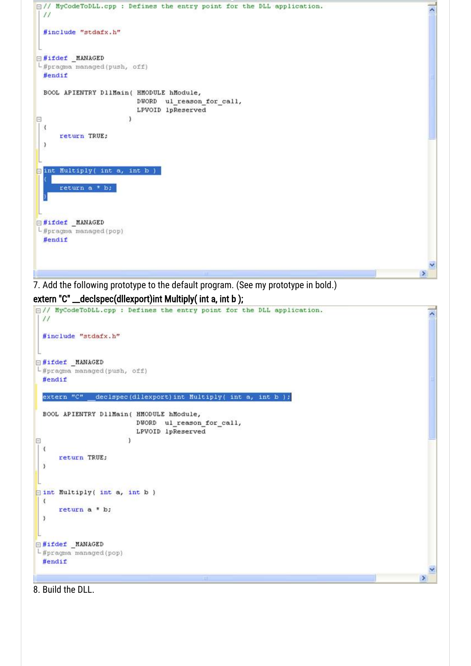

8. Build the DLL.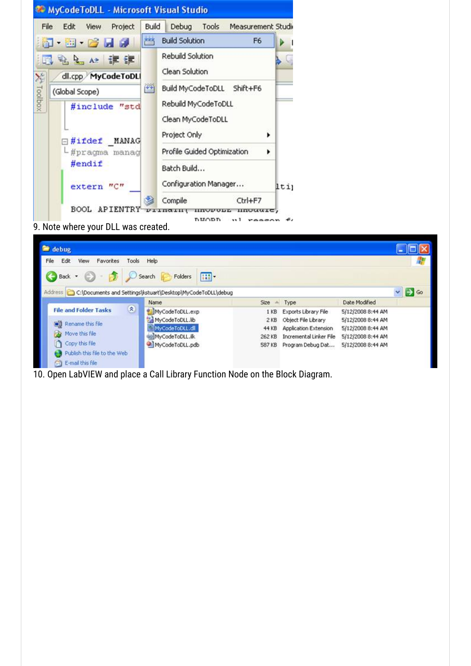

10. Open LabVIEW and place a Call Library Function Node on the Block Diagram.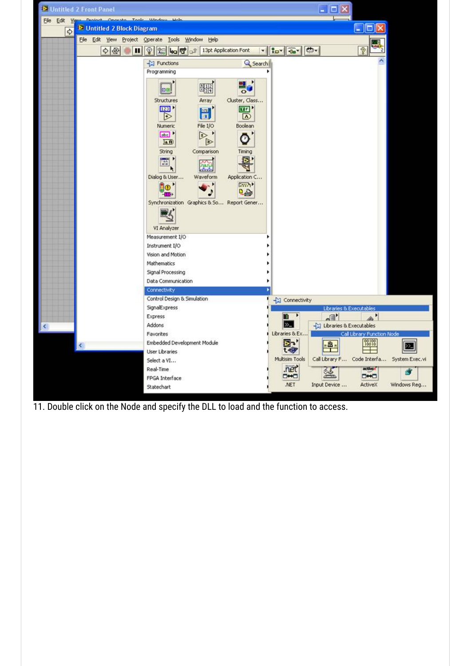

11. Double click on the Node and specify the DLL to load and the function to access.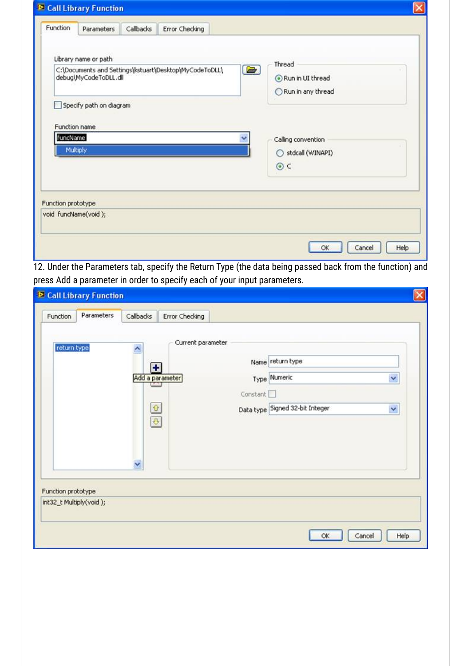|                           | <b>D</b> Call Library Function                                           |           |                                                        |                                                              |
|---------------------------|--------------------------------------------------------------------------|-----------|--------------------------------------------------------|--------------------------------------------------------------|
| Function                  | Parameters                                                               | Callbacks | Error Checking                                         |                                                              |
|                           | Library name or path<br>debug\MyCodeToDLL.dll<br>Specify path on diagram |           | C:\Documents and Settings\kstuart\Desktop\MyCodeToDLL\ | Thread<br>$\bullet$<br>Run in UI thread<br>Run in any thread |
| Function name<br>funcName | Multiply                                                                 |           |                                                        | Calling convention<br>stdcall (WINAPI)<br>∩                  |
|                           |                                                                          |           |                                                        | $\odot$ c                                                    |
| Function prototype        | void funcName(void);                                                     |           |                                                        |                                                              |
|                           |                                                                          |           |                                                        | Help<br>Cancel<br>OK                                         |

12. Under the Parameters tab, specify the Return Type (the data being passed back from the function) and press Add a parameter in order to specify each of your input parameters.

| <b>E</b> Call Library Function<br>Parameters<br>Function | Callbacks                                                                       | Error Checking                       |          |                                                                     |        |
|----------------------------------------------------------|---------------------------------------------------------------------------------|--------------------------------------|----------|---------------------------------------------------------------------|--------|
| return type                                              | $\hat{\phantom{a}}$<br>П<br>35.00<br>$\hat{u}$<br>$\frac{\partial}{\partial x}$ | Current parameter<br>Add a parameter | Constant | Name return type<br>Type Numeric<br>Data type Signed 32-bit Integer | Y<br>Y |
| Function prototype<br>int32_t Multiply(void);            | v                                                                               |                                      |          | OK<br>Cancel                                                        | Help   |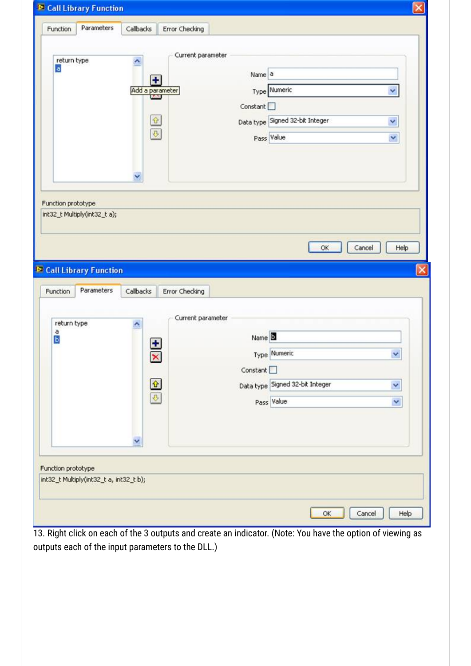| Y<br>$\alpha$<br>Cancel<br>Help<br>Parameters<br>Callbacks<br>Error Checking<br>Current parameter<br>return type<br>۸<br>a<br>Name <sup>B</sup><br>b<br>۰<br>Type Numeric<br>$\checkmark$<br>$\mathbf{x}$<br>Constant <sup>[1]</sup><br>$\begin{tabular}{ c c } \hline $\Phi$ & $\Phi$ \\ \hline \hline $\Phi$ & $\Phi$ \\ \hline \end{tabular}$<br>Data type Signed 32-bit Integer<br>×<br>Pass Value<br>$\checkmark$<br>v | return type<br>a                                   | Current parameter<br>$\hat{\phantom{a}}$<br>H.<br>Add a parameter<br>$\frac{1}{2}$<br>$\mathbf{P}$ | Name <sup>a</sup><br>Type Numeric<br>Constant<br>Data type Signed 32-bit Integer<br>Pass Value | v.<br>Y<br>× |
|-----------------------------------------------------------------------------------------------------------------------------------------------------------------------------------------------------------------------------------------------------------------------------------------------------------------------------------------------------------------------------------------------------------------------------|----------------------------------------------------|----------------------------------------------------------------------------------------------------|------------------------------------------------------------------------------------------------|--------------|
|                                                                                                                                                                                                                                                                                                                                                                                                                             | Function prototype<br>int32_t Multiply(int32_t a); |                                                                                                    |                                                                                                |              |
|                                                                                                                                                                                                                                                                                                                                                                                                                             | <b>E</b> Call Library Function<br>Function         |                                                                                                    |                                                                                                |              |

13. Right click on each of the 3 outputs and create an indicator. (Note: You have the option of viewing as outputs each of the input parameters to the DLL.)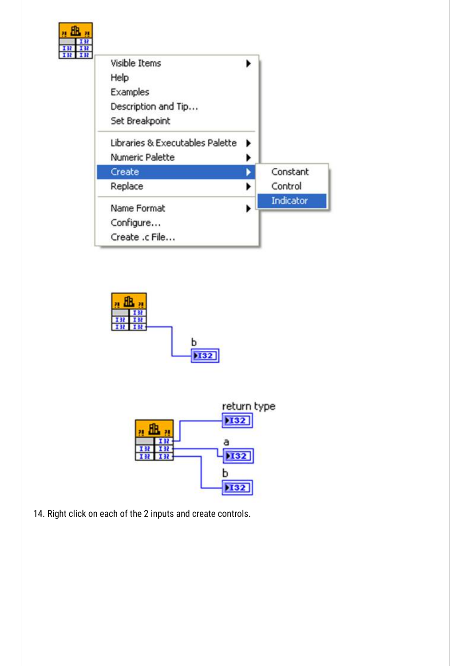





14. Right click on each of the 2 inputs and create controls.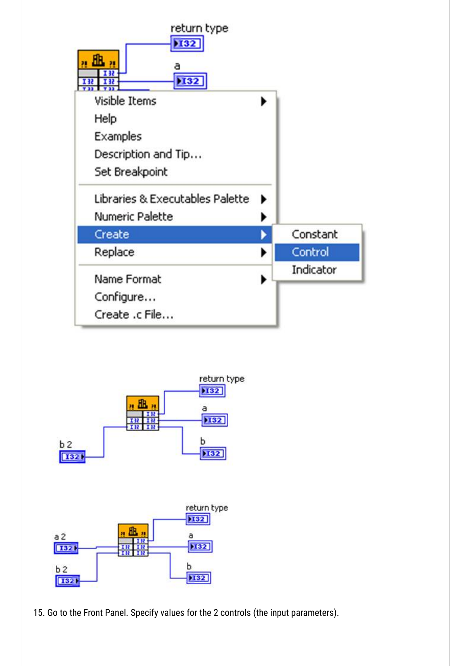





15. Go to the Front Panel. Specify values for the 2 controls (the input parameters).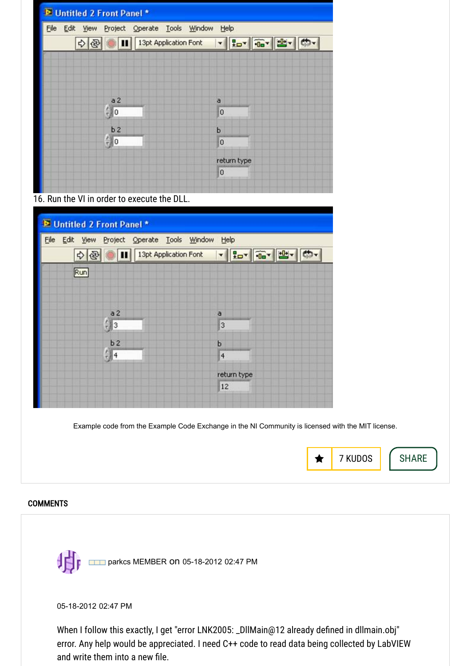| D Untitled 2 Front Panel *                        |                |
|---------------------------------------------------|----------------|
| Eile<br>Project Operate Tools Window<br>Edit View | Help           |
| 13pt Application Font<br>❖<br>$\mathbb{R}$<br>Ш   | Hov Gy 出 的     |
|                                                   |                |
|                                                   |                |
|                                                   |                |
| a2<br>$\frac{r}{r}$ o                             | a<br>0         |
|                                                   |                |
| b2<br>$\frac{r}{r}$ 0                             | b<br>0         |
|                                                   |                |
|                                                   | return type    |
|                                                   | $\overline{0}$ |
| 16. Run the VI in order to execute the DLL.       |                |

| D Untitled 2 Front Panel *                       |                       |                     |            |  |
|--------------------------------------------------|-----------------------|---------------------|------------|--|
| File Edit View Project Operate Tools Window Help |                       |                     |            |  |
| 國<br>$\mathbb{Z}$<br>❖                           | 13pt Application Font |                     | VEDY OF EX |  |
| Run                                              |                       |                     |            |  |
|                                                  |                       |                     |            |  |
|                                                  |                       |                     |            |  |
| a2<br>$\frac{r}{r}$ 3                            |                       | a<br>$\overline{3}$ |            |  |
| b2                                               |                       | b                   |            |  |
| $\frac{7}{2}$ 4                                  |                       | $\overline{4}$      |            |  |
|                                                  |                       | return type         |            |  |
|                                                  |                       | 12                  |            |  |
|                                                  |                       |                     |            |  |

Example code from the Example Code Exchange in the NI Community is licensed with the [MIT license.](https://www.ni.com/en-us/about-ni/legal/mit-license)



#### **COMMENTS**



05-18-2012 02:47 PM

When I follow this exactly, I get "error LNK2005: \_DllMain@12 already defined in dllmain.obj" error. Any help would be appreciated. I need C++ code to read data being collected by LabVIEW and write them into a new file.